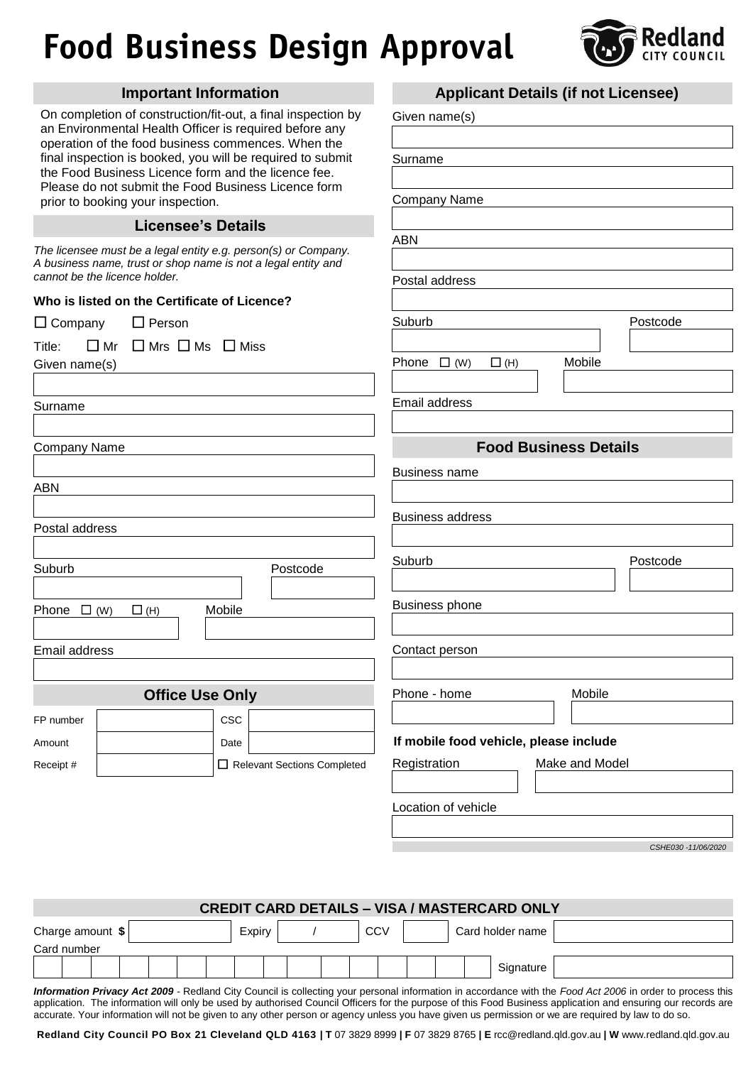## **Food Business Design Approval**



|                                                                                                            | <b>Important Information</b>              |        |                                                              |                                        |            |  |                | <b>Applicant Details (if not Licensee)</b> |  |  |
|------------------------------------------------------------------------------------------------------------|-------------------------------------------|--------|--------------------------------------------------------------|----------------------------------------|------------|--|----------------|--------------------------------------------|--|--|
| an Environmental Health Officer is required before any                                                     |                                           |        | On completion of construction/fit-out, a final inspection by | Given name(s)                          |            |  |                |                                            |  |  |
| operation of the food business commences. When the                                                         |                                           |        |                                                              |                                        |            |  |                |                                            |  |  |
|                                                                                                            |                                           |        | final inspection is booked, you will be required to submit   | Surname<br><b>Company Name</b>         |            |  |                |                                            |  |  |
| the Food Business Licence form and the licence fee.<br>Please do not submit the Food Business Licence form |                                           |        |                                                              |                                        |            |  |                |                                            |  |  |
| prior to booking your inspection.                                                                          |                                           |        |                                                              |                                        |            |  |                |                                            |  |  |
|                                                                                                            | <b>Licensee's Details</b>                 |        |                                                              |                                        |            |  |                |                                            |  |  |
| The licensee must be a legal entity e.g. person(s) or Company.                                             |                                           |        |                                                              | <b>ABN</b>                             |            |  |                |                                            |  |  |
| A business name, trust or shop name is not a legal entity and<br>cannot be the licence holder.             |                                           |        |                                                              |                                        |            |  |                |                                            |  |  |
|                                                                                                            |                                           |        |                                                              | Postal address                         |            |  |                |                                            |  |  |
| Who is listed on the Certificate of Licence?                                                               |                                           |        |                                                              |                                        |            |  |                |                                            |  |  |
| $\square$ Company                                                                                          | $\Box$ Person                             |        |                                                              | Suburb                                 |            |  |                | Postcode                                   |  |  |
| $\square$ Mr<br>Title:                                                                                     | $\square$ Mrs $\square$ Ms $\square$ Miss |        |                                                              |                                        |            |  |                |                                            |  |  |
| Given name(s)                                                                                              |                                           |        |                                                              | Phone $\Box$ (W)                       | $\Box$ (H) |  | Mobile         |                                            |  |  |
|                                                                                                            |                                           |        |                                                              |                                        |            |  |                |                                            |  |  |
| Surname                                                                                                    |                                           |        |                                                              | Email address                          |            |  |                |                                            |  |  |
|                                                                                                            |                                           |        |                                                              |                                        |            |  |                |                                            |  |  |
| Company Name                                                                                               |                                           |        |                                                              | <b>Food Business Details</b>           |            |  |                |                                            |  |  |
|                                                                                                            |                                           |        |                                                              | <b>Business name</b>                   |            |  |                |                                            |  |  |
| ABN                                                                                                        |                                           |        |                                                              |                                        |            |  |                |                                            |  |  |
|                                                                                                            |                                           |        |                                                              | <b>Business address</b>                |            |  |                |                                            |  |  |
| Postal address                                                                                             |                                           |        |                                                              |                                        |            |  |                |                                            |  |  |
|                                                                                                            |                                           |        |                                                              | Suburb                                 |            |  |                | Postcode                                   |  |  |
| Suburb                                                                                                     |                                           |        | Postcode                                                     |                                        |            |  |                |                                            |  |  |
|                                                                                                            |                                           |        |                                                              |                                        |            |  |                |                                            |  |  |
| Phone $\Box$ (W)                                                                                           | $\Box$ (H)                                | Mobile |                                                              | <b>Business phone</b>                  |            |  |                |                                            |  |  |
|                                                                                                            |                                           |        |                                                              |                                        |            |  |                |                                            |  |  |
| Email address                                                                                              |                                           |        |                                                              | Contact person                         |            |  |                |                                            |  |  |
|                                                                                                            |                                           |        |                                                              |                                        |            |  |                |                                            |  |  |
|                                                                                                            | <b>Office Use Only</b>                    |        |                                                              | Phone - home                           |            |  | Mobile         |                                            |  |  |
| FP number                                                                                                  |                                           | CSC    |                                                              |                                        |            |  |                |                                            |  |  |
| Amount                                                                                                     |                                           | Date   |                                                              | If mobile food vehicle, please include |            |  |                |                                            |  |  |
| Receipt #                                                                                                  |                                           |        | Relevant Sections Completed                                  | Registration                           |            |  | Make and Model |                                            |  |  |
|                                                                                                            |                                           |        |                                                              |                                        |            |  |                |                                            |  |  |
|                                                                                                            |                                           |        |                                                              | Location of vehicle                    |            |  |                |                                            |  |  |
|                                                                                                            |                                           |        |                                                              |                                        |            |  |                |                                            |  |  |
|                                                                                                            |                                           |        |                                                              |                                        |            |  |                |                                            |  |  |

*CSHE030 -11/06/2020*

| <b>CREDIT CARD DETAILS - VISA / MASTERCARD ONLY</b> |  |  |  |  |  |        |  |  |  |     |  |  |                  |                                                                                                                                                                                                                                                                                          |
|-----------------------------------------------------|--|--|--|--|--|--------|--|--|--|-----|--|--|------------------|------------------------------------------------------------------------------------------------------------------------------------------------------------------------------------------------------------------------------------------------------------------------------------------|
| Charge amount \$                                    |  |  |  |  |  | Expiry |  |  |  | CCV |  |  | Card holder name |                                                                                                                                                                                                                                                                                          |
| Card number                                         |  |  |  |  |  |        |  |  |  |     |  |  |                  |                                                                                                                                                                                                                                                                                          |
|                                                     |  |  |  |  |  |        |  |  |  |     |  |  | Signature        |                                                                                                                                                                                                                                                                                          |
|                                                     |  |  |  |  |  |        |  |  |  |     |  |  |                  | $\mathbf{r}$ , and $\mathbf{r}$ , and $\mathbf{r}$ , and $\mathbf{r}$ , and $\mathbf{r}$ , and $\mathbf{r}$ , and $\mathbf{r}$ , and $\mathbf{r}$ , and $\mathbf{r}$ , and $\mathbf{r}$ , and $\mathbf{r}$ , and $\mathbf{r}$ , and $\mathbf{r}$ , and $\mathbf{r}$ , and $\mathbf{r}$ , |

*Information Privacy Act 2009 -* Redland City Council is collecting your personal information in accordance with the *Food Act 2006* in order to process this application. The information will only be used by authorised Council Officers for the purpose of this Food Business application and ensuring our records are accurate. Your information will not be given to any other person or agency unless you have given us permission or we are required by law to do so.

**Redland City Council PO Box 21 Cleveland QLD 4163 | T** 07 3829 8999 **| F** 07 3829 8765 **| E** rcc@redland.qld.gov.au **| W** www.redland.qld.gov.au